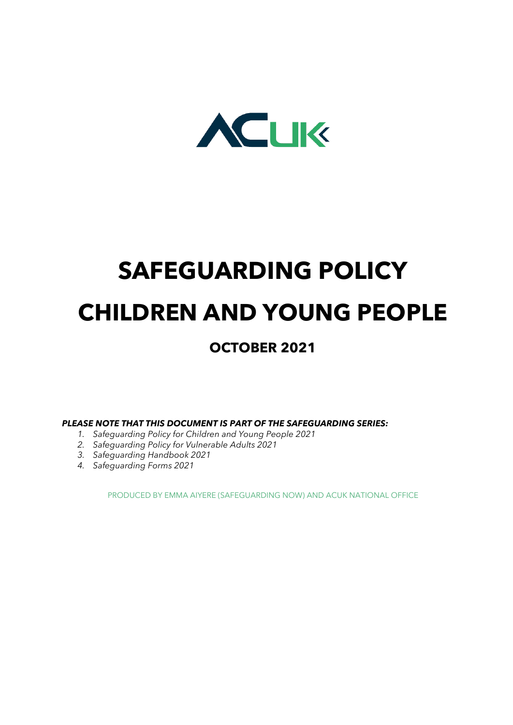

# SAFEGUARDING POLICY CHILDREN AND YOUNG PEOPLE

# OCTOBER 2021

PLEASE NOTE THAT THIS DOCUMENT IS PART OF THE SAFEGUARDING SERIES:

- 1. Safeguarding Policy for Children and Young People 2021
- 2. Safeguarding Policy for Vulnerable Adults 2021
- 3. Safeguarding Handbook 2021
- 4. Safeguarding Forms 2021

PRODUCED BY EMMA AIYERE (SAFEGUARDING NOW) AND ACUK NATIONAL OFFICE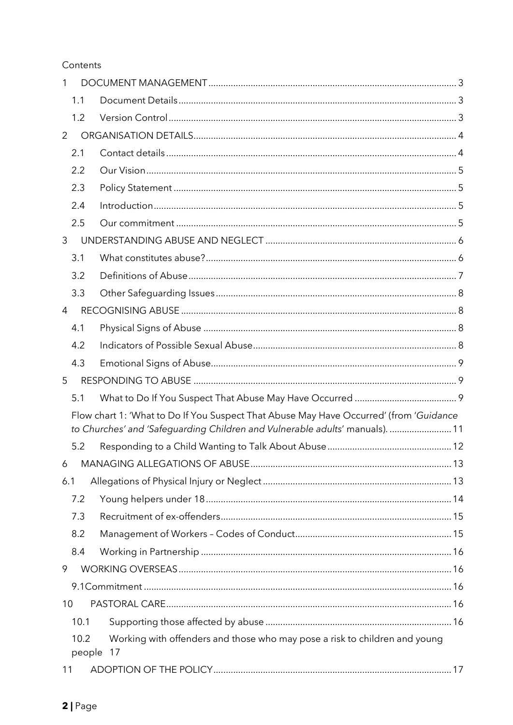# Contents

| 1              |                                                                                        |  |
|----------------|----------------------------------------------------------------------------------------|--|
| 1.1            |                                                                                        |  |
| 1.2            |                                                                                        |  |
| 2              |                                                                                        |  |
| 2.1            |                                                                                        |  |
| 2.2            |                                                                                        |  |
| 2.3            |                                                                                        |  |
| 2.4            |                                                                                        |  |
| 2.5            |                                                                                        |  |
| 3              |                                                                                        |  |
| 3.1            |                                                                                        |  |
| 3.2            |                                                                                        |  |
| 3.3            |                                                                                        |  |
| $\overline{4}$ |                                                                                        |  |
| 4.1            |                                                                                        |  |
| 4.2            |                                                                                        |  |
| 4.3            |                                                                                        |  |
| 5              |                                                                                        |  |
| 5.1            |                                                                                        |  |
|                | Flow chart 1: 'What to Do If You Suspect That Abuse May Have Occurred' (from 'Guidance |  |
|                | to Churches' and 'Safeguarding Children and Vulnerable adults' manuals).  11           |  |
| 5.2            |                                                                                        |  |
|                |                                                                                        |  |
| 6.1            |                                                                                        |  |
| 7.2            |                                                                                        |  |
| 7.3            |                                                                                        |  |
| 8.2            |                                                                                        |  |
| 8.4            |                                                                                        |  |
| 9              |                                                                                        |  |
|                |                                                                                        |  |
| 10             |                                                                                        |  |
| 10.1           |                                                                                        |  |
| 10.2<br>people | Working with offenders and those who may pose a risk to children and young<br>17       |  |
| 11             |                                                                                        |  |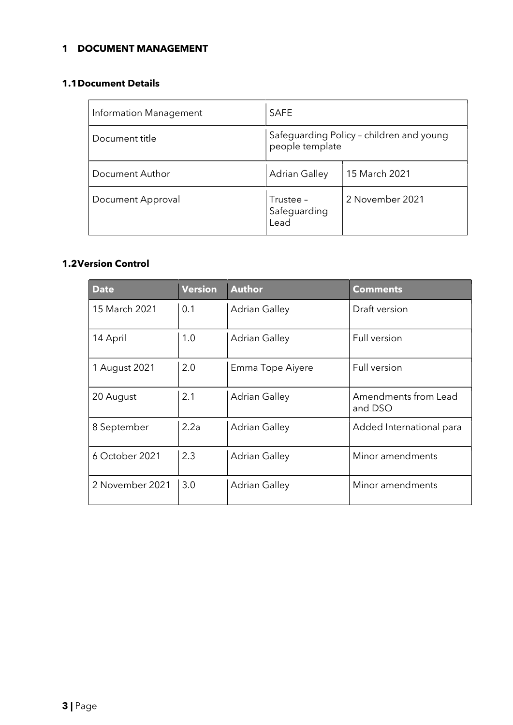# 1 DOCUMENT MANAGEMENT

### 1.1Document Details

| Information Management | <b>SAFE</b>                                                 |                 |
|------------------------|-------------------------------------------------------------|-----------------|
| Document title         | Safeguarding Policy - children and young<br>people template |                 |
| Document Author        | <b>Adrian Galley</b>                                        | 15 March 2021   |
| Document Approval      | Trustee -<br>Safeguarding<br>Lead                           | 2 November 2021 |

# 1.2Version Control

| <b>Date</b>     | <b>Version</b> | <b>Author</b>        | <b>Comments</b>                 |
|-----------------|----------------|----------------------|---------------------------------|
| 15 March 2021   | 0.1            | <b>Adrian Galley</b> | Draft version                   |
| 14 April        | 1.0            | Adrian Galley        | Full version                    |
| 1 August 2021   | 2.0            | Emma Tope Aiyere     | Full version                    |
| 20 August       | 2.1            | <b>Adrian Galley</b> | Amendments from Lead<br>and DSO |
| 8 September     | 2.2a           | <b>Adrian Galley</b> | Added International para        |
| 6 October 2021  | 2.3            | <b>Adrian Galley</b> | Minor amendments                |
| 2 November 2021 | 3.0            | <b>Adrian Galley</b> | Minor amendments                |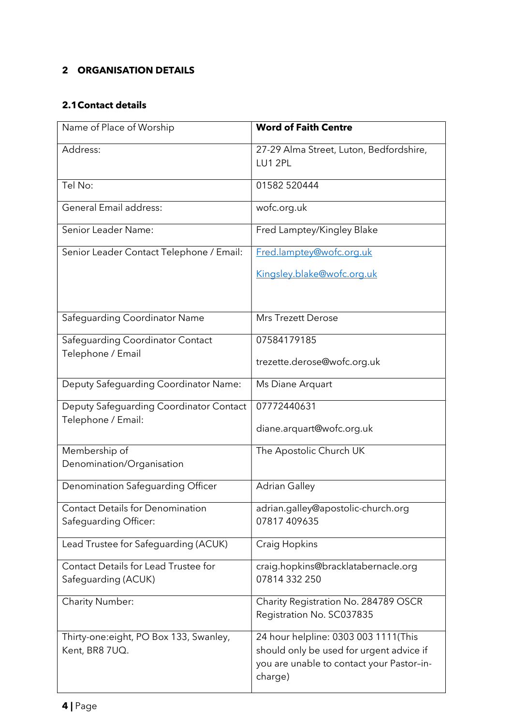# 2 ORGANISATION DETAILS

# 2.1Contact details

| Name of Place of Worship                                      | <b>Word of Faith Centre</b>                                                                                                              |
|---------------------------------------------------------------|------------------------------------------------------------------------------------------------------------------------------------------|
| Address:                                                      | 27-29 Alma Street, Luton, Bedfordshire,<br>LU1 2PL                                                                                       |
| Tel No:                                                       | 01582 520444                                                                                                                             |
| <b>General Email address:</b>                                 | wofc.org.uk                                                                                                                              |
| Senior Leader Name:                                           | Fred Lamptey/Kingley Blake                                                                                                               |
| Senior Leader Contact Telephone / Email:                      | Fred.lamptey@wofc.org.uk                                                                                                                 |
|                                                               | Kingsley.blake@wofc.org.uk                                                                                                               |
| Safeguarding Coordinator Name                                 | <b>Mrs Trezett Derose</b>                                                                                                                |
| Safeguarding Coordinator Contact                              | 07584179185                                                                                                                              |
| Telephone / Email                                             | trezette.derose@wofc.org.uk                                                                                                              |
| Deputy Safeguarding Coordinator Name:                         | Ms Diane Arquart                                                                                                                         |
| Deputy Safeguarding Coordinator Contact<br>Telephone / Email: | 07772440631                                                                                                                              |
|                                                               | diane.arquart@wofc.org.uk                                                                                                                |
| Membership of                                                 | The Apostolic Church UK                                                                                                                  |
| Denomination/Organisation                                     |                                                                                                                                          |
| Denomination Safeguarding Officer                             | <b>Adrian Galley</b>                                                                                                                     |
| <b>Contact Details for Denomination</b>                       | adrian.galley@apostolic-church.org                                                                                                       |
| Safeguarding Officer:                                         | 07817 409635                                                                                                                             |
| Lead Trustee for Safeguarding (ACUK)                          | Craig Hopkins                                                                                                                            |
| Contact Details for Lead Trustee for                          | craig.hopkins@bracklatabernacle.org                                                                                                      |
| Safeguarding (ACUK)                                           | 07814 332 250                                                                                                                            |
| <b>Charity Number:</b>                                        | Charity Registration No. 284789 OSCR<br>Registration No. SC037835                                                                        |
| Thirty-one: eight, PO Box 133, Swanley,<br>Kent, BR8 7UQ.     | 24 hour helpline: 0303 003 1111(This<br>should only be used for urgent advice if<br>you are unable to contact your Pastor-in-<br>charge) |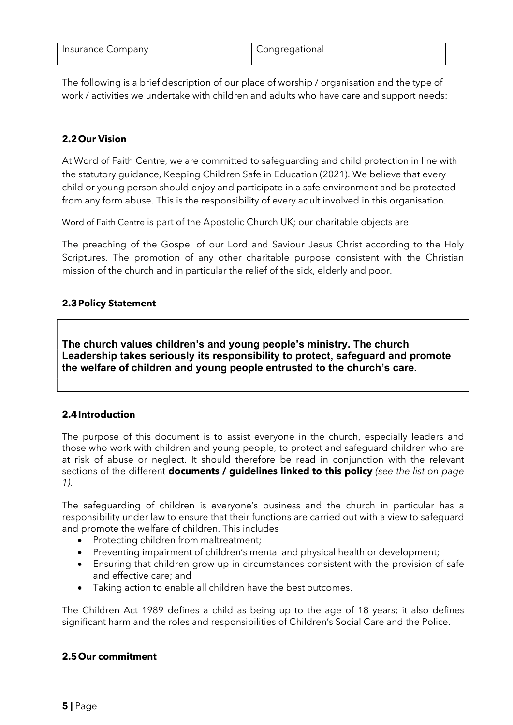| Insurance Company | <sup>1</sup> Congregational |
|-------------------|-----------------------------|
|                   |                             |

The following is a brief description of our place of worship / organisation and the type of work / activities we undertake with children and adults who have care and support needs:

### 2.2Our Vision

At Word of Faith Centre, we are committed to safeguarding and child protection in line with the statutory guidance, Keeping Children Safe in Education (2021). We believe that every child or young person should enjoy and participate in a safe environment and be protected from any form abuse. This is the responsibility of every adult involved in this organisation.

Word of Faith Centre is part of the Apostolic Church UK; our charitable objects are:

The preaching of the Gospel of our Lord and Saviour Jesus Christ according to the Holy Scriptures. The promotion of any other charitable purpose consistent with the Christian mission of the church and in particular the relief of the sick, elderly and poor.

### 2.3Policy Statement

The church values children's and young people's ministry. The church Leadership takes seriously its responsibility to protect, safeguard and promote the welfare of children and young people entrusted to the church's care.

#### 2.4Introduction

The purpose of this document is to assist everyone in the church, especially leaders and those who work with children and young people, to protect and safeguard children who are at risk of abuse or neglect. It should therefore be read in conjunction with the relevant sections of the different **documents / guidelines linked to this policy** (see the list on page 1).

The safeguarding of children is everyone's business and the church in particular has a responsibility under law to ensure that their functions are carried out with a view to safeguard and promote the welfare of children. This includes

- Protecting children from maltreatment;
- Preventing impairment of children's mental and physical health or development;
- Ensuring that children grow up in circumstances consistent with the provision of safe and effective care; and
- Taking action to enable all children have the best outcomes.

The Children Act 1989 defines a child as being up to the age of 18 years; it also defines significant harm and the roles and responsibilities of Children's Social Care and the Police.

#### 2.5Our commitment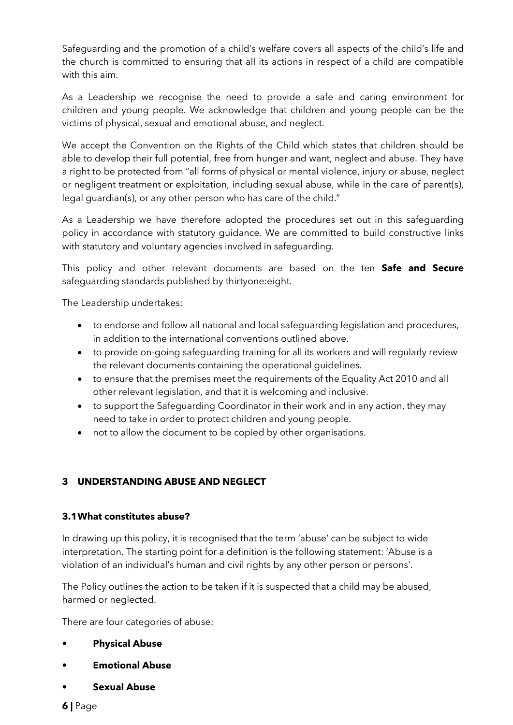Safeguarding and the promotion of a child's welfare covers all aspects of the child's life and the church is committed to ensuring that all its actions in respect of a child are compatible with this aim.

As a Leadership we recognise the need to provide a safe and caring environment for children and young people. We acknowledge that children and young people can be the victims of physical, sexual and emotional abuse, and neglect.

We accept the Convention on the Rights of the Child which states that children should be able to develop their full potential, free from hunger and want, neglect and abuse. They have a right to be protected from "all forms of physical or mental violence, injury or abuse, neglect or negligent treatment or exploitation, including sexual abuse, while in the care of parent(s), legal guardian(s), or any other person who has care of the child."

As a Leadership we have therefore adopted the procedures set out in this safeguarding policy in accordance with statutory guidance. We are committed to build constructive links with statutory and voluntary agencies involved in safeguarding.

This policy and other relevant documents are based on the ten Safe and Secure safeguarding standards published by thirtyone:eight.

The Leadership undertakes:

- to endorse and follow all national and local safeguarding legislation and procedures, in addition to the international conventions outlined above.
- to provide on-going safeguarding training for all its workers and will regularly review the relevant documents containing the operational guidelines.
- to ensure that the premises meet the requirements of the Equality Act 2010 and all other relevant legislation, and that it is welcoming and inclusive.
- to support the Safeguarding Coordinator in their work and in any action, they may need to take in order to protect children and young people.
- not to allow the document to be copied by other organisations.

# 3 UNDERSTANDING ABUSE AND NEGLECT

#### 3.1What constitutes abuse?

In drawing up this policy, it is recognised that the term 'abuse' can be subject to wide interpretation. The starting point for a definition is the following statement: 'Abuse is a violation of an individual's human and civil rights by any other person or persons'.

The Policy outlines the action to be taken if it is suspected that a child may be abused, harmed or neglected.

There are four categories of abuse:

- **Physical Abuse**
- **Emotional Abuse**
- Sexual Abuse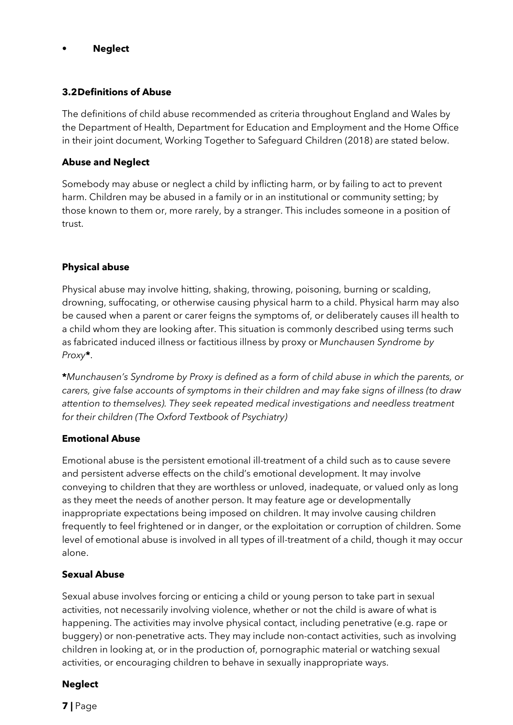#### **Neglect**

#### 3.2Definitions of Abuse

The definitions of child abuse recommended as criteria throughout England and Wales by the Department of Health, Department for Education and Employment and the Home Office in their joint document, Working Together to Safeguard Children (2018) are stated below.

#### Abuse and Neglect

Somebody may abuse or neglect a child by inflicting harm, or by failing to act to prevent harm. Children may be abused in a family or in an institutional or community setting; by those known to them or, more rarely, by a stranger. This includes someone in a position of trust.

# Physical abuse

Physical abuse may involve hitting, shaking, throwing, poisoning, burning or scalding, drowning, suffocating, or otherwise causing physical harm to a child. Physical harm may also be caused when a parent or carer feigns the symptoms of, or deliberately causes ill health to a child whom they are looking after. This situation is commonly described using terms such as fabricated induced illness or factitious illness by proxy or Munchausen Syndrome by Proxy\*.

\*Munchausen's Syndrome by Proxy is defined as a form of child abuse in which the parents, or carers, give false accounts of symptoms in their children and may fake signs of illness (to draw attention to themselves). They seek repeated medical investigations and needless treatment for their children (The Oxford Textbook of Psychiatry)

#### Emotional Abuse

Emotional abuse is the persistent emotional ill-treatment of a child such as to cause severe and persistent adverse effects on the child's emotional development. It may involve conveying to children that they are worthless or unloved, inadequate, or valued only as long as they meet the needs of another person. It may feature age or developmentally inappropriate expectations being imposed on children. It may involve causing children frequently to feel frightened or in danger, or the exploitation or corruption of children. Some level of emotional abuse is involved in all types of ill-treatment of a child, though it may occur alone.

#### Sexual Abuse

Sexual abuse involves forcing or enticing a child or young person to take part in sexual activities, not necessarily involving violence, whether or not the child is aware of what is happening. The activities may involve physical contact, including penetrative (e.g. rape or buggery) or non-penetrative acts. They may include non-contact activities, such as involving children in looking at, or in the production of, pornographic material or watching sexual activities, or encouraging children to behave in sexually inappropriate ways.

#### **Neglect**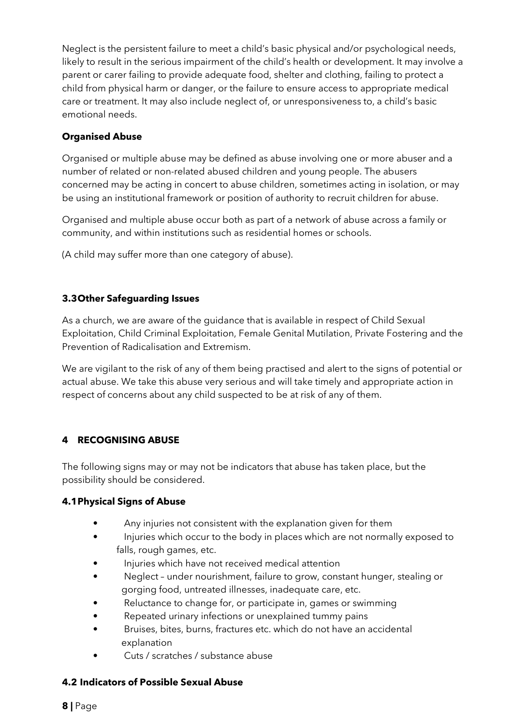Neglect is the persistent failure to meet a child's basic physical and/or psychological needs, likely to result in the serious impairment of the child's health or development. It may involve a parent or carer failing to provide adequate food, shelter and clothing, failing to protect a child from physical harm or danger, or the failure to ensure access to appropriate medical care or treatment. It may also include neglect of, or unresponsiveness to, a child's basic emotional needs.

# Organised Abuse

Organised or multiple abuse may be defined as abuse involving one or more abuser and a number of related or non-related abused children and young people. The abusers concerned may be acting in concert to abuse children, sometimes acting in isolation, or may be using an institutional framework or position of authority to recruit children for abuse.

Organised and multiple abuse occur both as part of a network of abuse across a family or community, and within institutions such as residential homes or schools.

(A child may suffer more than one category of abuse).

# 3.3Other Safeguarding Issues

As a church, we are aware of the guidance that is available in respect of Child Sexual Exploitation, Child Criminal Exploitation, Female Genital Mutilation, Private Fostering and the Prevention of Radicalisation and Extremism.

We are vigilant to the risk of any of them being practised and alert to the signs of potential or actual abuse. We take this abuse very serious and will take timely and appropriate action in respect of concerns about any child suspected to be at risk of any of them.

# 4 RECOGNISING ABUSE

The following signs may or may not be indicators that abuse has taken place, but the possibility should be considered.

# 4.1Physical Signs of Abuse

- Any injuries not consistent with the explanation given for them
- Injuries which occur to the body in places which are not normally exposed to falls, rough games, etc.
- Injuries which have not received medical attention
- Neglect under nourishment, failure to grow, constant hunger, stealing or gorging food, untreated illnesses, inadequate care, etc.
- Reluctance to change for, or participate in, games or swimming
- Repeated urinary infections or unexplained tummy pains
- Bruises, bites, burns, fractures etc. which do not have an accidental explanation
- Cuts / scratches / substance abuse

# 4.2 Indicators of Possible Sexual Abuse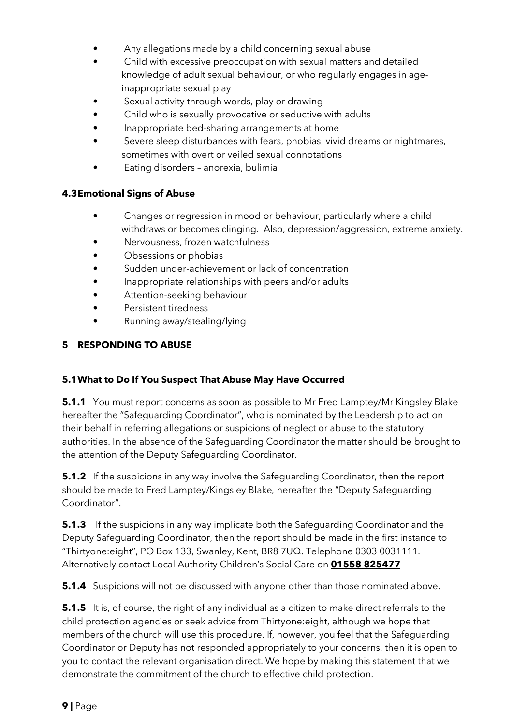- Any allegations made by a child concerning sexual abuse
- Child with excessive preoccupation with sexual matters and detailed knowledge of adult sexual behaviour, or who regularly engages in age inappropriate sexual play
- Sexual activity through words, play or drawing
- Child who is sexually provocative or seductive with adults
- Inappropriate bed-sharing arrangements at home
- Severe sleep disturbances with fears, phobias, vivid dreams or nightmares, sometimes with overt or veiled sexual connotations
- Eating disorders anorexia, bulimia

#### 4.3Emotional Signs of Abuse

- Changes or regression in mood or behaviour, particularly where a child withdraws or becomes clinging. Also, depression/aggression, extreme anxiety.
- Nervousness, frozen watchfulness
- Obsessions or phobias
- Sudden under-achievement or lack of concentration
- Inappropriate relationships with peers and/or adults
- Attention-seeking behaviour
- Persistent tiredness
- Running away/stealing/lying

### 5 RESPONDING TO ABUSE

#### 5.1What to Do If You Suspect That Abuse May Have Occurred

**5.1.1** You must report concerns as soon as possible to Mr Fred Lamptey/Mr Kingsley Blake hereafter the "Safeguarding Coordinator", who is nominated by the Leadership to act on their behalf in referring allegations or suspicions of neglect or abuse to the statutory authorities. In the absence of the Safeguarding Coordinator the matter should be brought to the attention of the Deputy Safeguarding Coordinator.

**5.1.2** If the suspicions in any way involve the Safequarding Coordinator, then the report should be made to Fred Lamptey/Kingsley Blake, hereafter the "Deputy Safeguarding Coordinator".

**5.1.3** If the suspicions in any way implicate both the Safeguarding Coordinator and the Deputy Safeguarding Coordinator, then the report should be made in the first instance to "Thirtyone:eight", PO Box 133, Swanley, Kent, BR8 7UQ. Telephone 0303 0031111. Alternatively contact Local Authority Children's Social Care on 01558 825477

**5.1.4** Suspicions will not be discussed with anyone other than those nominated above.

**5.1.5** It is, of course, the right of any individual as a citizen to make direct referrals to the child protection agencies or seek advice from Thirtyone:eight, although we hope that members of the church will use this procedure. If, however, you feel that the Safeguarding Coordinator or Deputy has not responded appropriately to your concerns, then it is open to you to contact the relevant organisation direct. We hope by making this statement that we demonstrate the commitment of the church to effective child protection.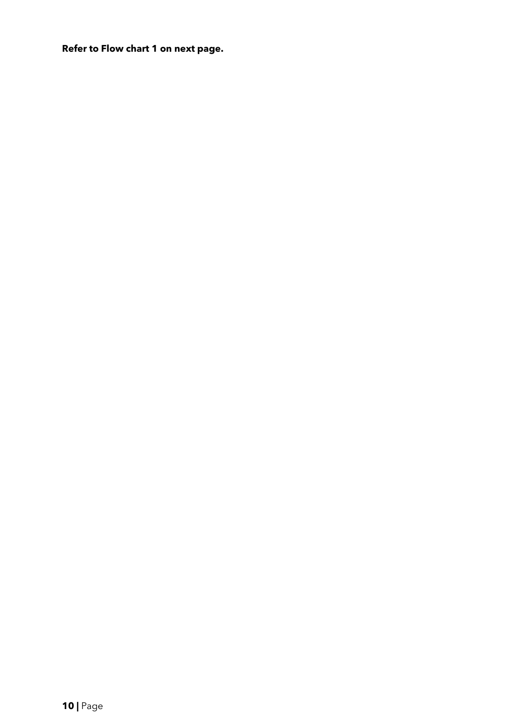Refer to Flow chart 1 on next page.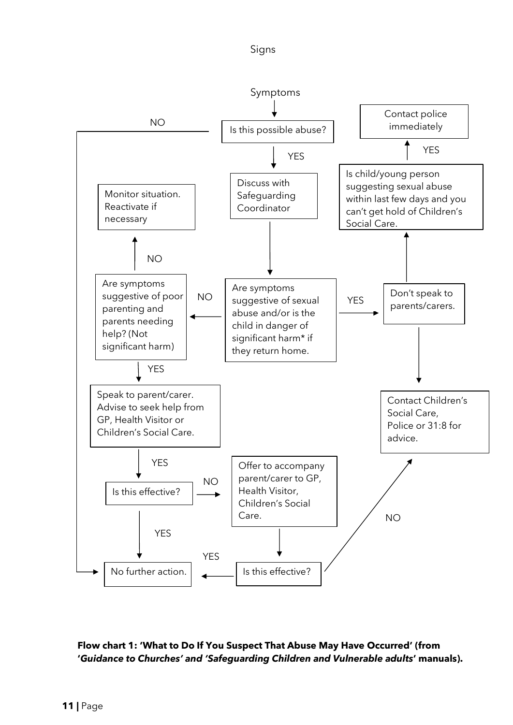



# Flow chart 1: 'What to Do If You Suspect That Abuse May Have Occurred' (from 'Guidance to Churches' and 'Safeguarding Children and Vulnerable adults' manuals).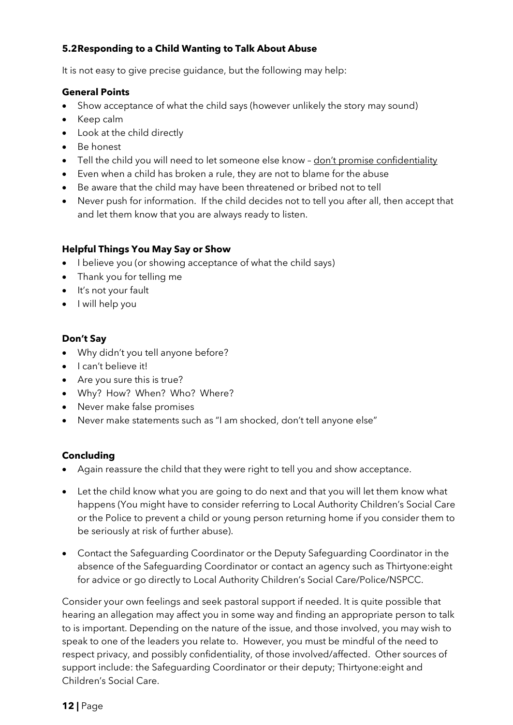# 5.2Responding to a Child Wanting to Talk About Abuse

It is not easy to give precise guidance, but the following may help:

### General Points

- Show acceptance of what the child says (however unlikely the story may sound)
- Keep calm
- Look at the child directly
- Be honest
- Tell the child you will need to let someone else know don't promise confidentiality
- Even when a child has broken a rule, they are not to blame for the abuse
- Be aware that the child may have been threatened or bribed not to tell
- Never push for information. If the child decides not to tell you after all, then accept that and let them know that you are always ready to listen.

### Helpful Things You May Say or Show

- I believe you (or showing acceptance of what the child says)
- Thank you for telling me
- It's not your fault
- I will help you

### Don't Say

- Why didn't you tell anyone before?
- I can't believe it!
- Are you sure this is true?
- Why? How? When? Who? Where?
- Never make false promises
- Never make statements such as "I am shocked, don't tell anyone else"

# Concluding

- Again reassure the child that they were right to tell you and show acceptance.
- Let the child know what you are going to do next and that you will let them know what happens (You might have to consider referring to Local Authority Children's Social Care or the Police to prevent a child or young person returning home if you consider them to be seriously at risk of further abuse).
- Contact the Safeguarding Coordinator or the Deputy Safeguarding Coordinator in the absence of the Safeguarding Coordinator or contact an agency such as Thirtyone:eight for advice or go directly to Local Authority Children's Social Care/Police/NSPCC.

Consider your own feelings and seek pastoral support if needed. It is quite possible that hearing an allegation may affect you in some way and finding an appropriate person to talk to is important. Depending on the nature of the issue, and those involved, you may wish to speak to one of the leaders you relate to. However, you must be mindful of the need to respect privacy, and possibly confidentiality, of those involved/affected. Other sources of support include: the Safeguarding Coordinator or their deputy; Thirtyone:eight and Children's Social Care.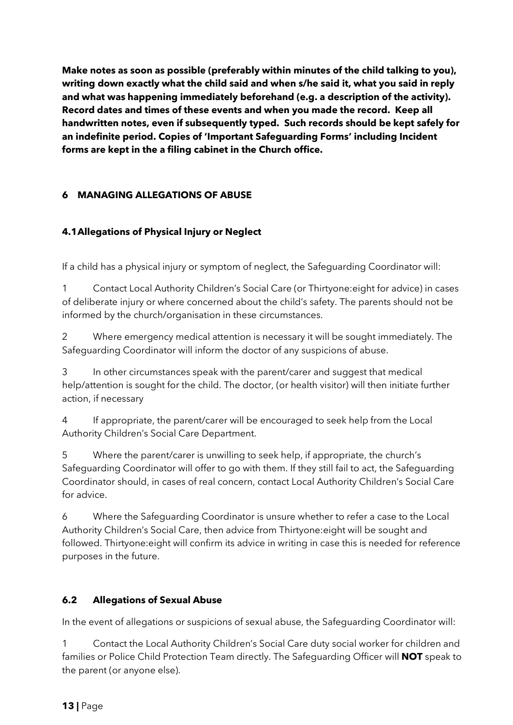Make notes as soon as possible (preferably within minutes of the child talking to you), writing down exactly what the child said and when s/he said it, what you said in reply and what was happening immediately beforehand (e.g. a description of the activity). Record dates and times of these events and when you made the record. Keep all handwritten notes, even if subsequently typed. Such records should be kept safely for an indefinite period. Copies of 'Important Safeguarding Forms' including Incident forms are kept in the a filing cabinet in the Church office.

# 6 MANAGING ALLEGATIONS OF ABUSE

# 4.1Allegations of Physical Injury or Neglect

If a child has a physical injury or symptom of neglect, the Safeguarding Coordinator will:

1 Contact Local Authority Children's Social Care (or Thirtyone:eight for advice) in cases of deliberate injury or where concerned about the child's safety. The parents should not be informed by the church/organisation in these circumstances.

2 Where emergency medical attention is necessary it will be sought immediately. The Safeguarding Coordinator will inform the doctor of any suspicions of abuse.

3 In other circumstances speak with the parent/carer and suggest that medical help/attention is sought for the child. The doctor, (or health visitor) will then initiate further action, if necessary

4 If appropriate, the parent/carer will be encouraged to seek help from the Local Authority Children's Social Care Department.

5 Where the parent/carer is unwilling to seek help, if appropriate, the church's Safeguarding Coordinator will offer to go with them. If they still fail to act, the Safeguarding Coordinator should, in cases of real concern, contact Local Authority Children's Social Care for advice.

6 Where the Safeguarding Coordinator is unsure whether to refer a case to the Local Authority Children's Social Care, then advice from Thirtyone:eight will be sought and followed. Thirtyone:eight will confirm its advice in writing in case this is needed for reference purposes in the future.

# 6.2 Allegations of Sexual Abuse

In the event of allegations or suspicions of sexual abuse, the Safeguarding Coordinator will:

1 Contact the Local Authority Children's Social Care duty social worker for children and families or Police Child Protection Team directly. The Safequarding Officer will **NOT** speak to the parent (or anyone else).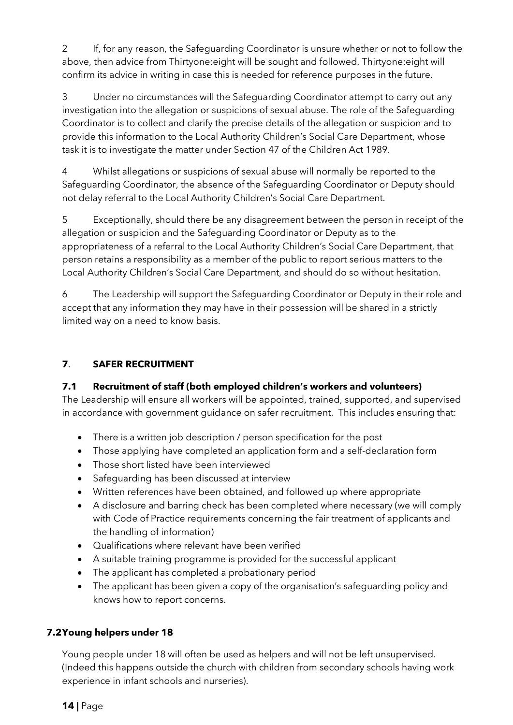2 If, for any reason, the Safeguarding Coordinator is unsure whether or not to follow the above, then advice from Thirtyone:eight will be sought and followed. Thirtyone:eight will confirm its advice in writing in case this is needed for reference purposes in the future.

3 Under no circumstances will the Safeguarding Coordinator attempt to carry out any investigation into the allegation or suspicions of sexual abuse. The role of the Safeguarding Coordinator is to collect and clarify the precise details of the allegation or suspicion and to provide this information to the Local Authority Children's Social Care Department, whose task it is to investigate the matter under Section 47 of the Children Act 1989.

4 Whilst allegations or suspicions of sexual abuse will normally be reported to the Safeguarding Coordinator, the absence of the Safeguarding Coordinator or Deputy should not delay referral to the Local Authority Children's Social Care Department.

5 Exceptionally, should there be any disagreement between the person in receipt of the allegation or suspicion and the Safeguarding Coordinator or Deputy as to the appropriateness of a referral to the Local Authority Children's Social Care Department, that person retains a responsibility as a member of the public to report serious matters to the Local Authority Children's Social Care Department, and should do so without hesitation.

6 The Leadership will support the Safeguarding Coordinator or Deputy in their role and accept that any information they may have in their possession will be shared in a strictly limited way on a need to know basis.

# 7. SAFER RECRUITMENT

# 7.1 Recruitment of staff (both employed children's workers and volunteers)

The Leadership will ensure all workers will be appointed, trained, supported, and supervised in accordance with government guidance on safer recruitment. This includes ensuring that:

- There is a written job description / person specification for the post
- Those applying have completed an application form and a self-declaration form
- Those short listed have been interviewed
- Safeguarding has been discussed at interview
- Written references have been obtained, and followed up where appropriate
- A disclosure and barring check has been completed where necessary (we will comply with Code of Practice requirements concerning the fair treatment of applicants and the handling of information)
- Qualifications where relevant have been verified
- A suitable training programme is provided for the successful applicant
- The applicant has completed a probationary period
- The applicant has been given a copy of the organisation's safeguarding policy and knows how to report concerns.

# 7.2Young helpers under 18

Young people under 18 will often be used as helpers and will not be left unsupervised. (Indeed this happens outside the church with children from secondary schools having work experience in infant schools and nurseries).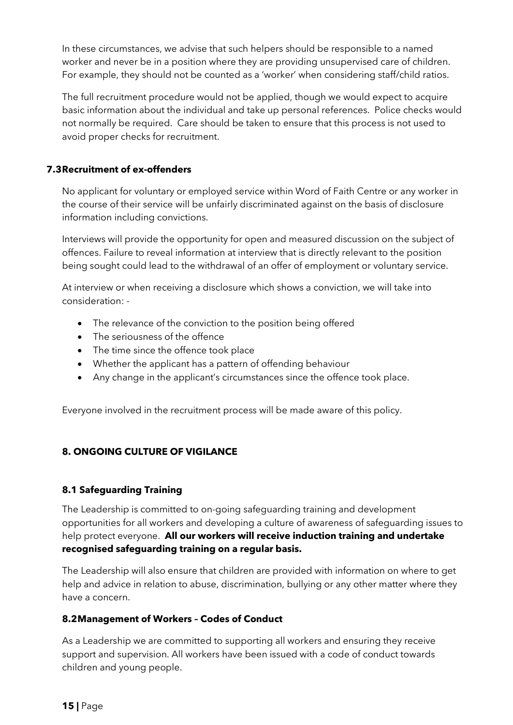In these circumstances, we advise that such helpers should be responsible to a named worker and never be in a position where they are providing unsupervised care of children. For example, they should not be counted as a 'worker' when considering staff/child ratios.

The full recruitment procedure would not be applied, though we would expect to acquire basic information about the individual and take up personal references. Police checks would not normally be required. Care should be taken to ensure that this process is not used to avoid proper checks for recruitment.

### 7.3Recruitment of ex-offenders

No applicant for voluntary or employed service within Word of Faith Centre or any worker in the course of their service will be unfairly discriminated against on the basis of disclosure information including convictions.

Interviews will provide the opportunity for open and measured discussion on the subject of offences. Failure to reveal information at interview that is directly relevant to the position being sought could lead to the withdrawal of an offer of employment or voluntary service.

At interview or when receiving a disclosure which shows a conviction, we will take into consideration: -

- The relevance of the conviction to the position being offered
- The seriousness of the offence
- The time since the offence took place
- Whether the applicant has a pattern of offending behaviour
- Any change in the applicant's circumstances since the offence took place.

Everyone involved in the recruitment process will be made aware of this policy.

# 8. ONGOING CULTURE OF VIGILANCE

#### 8.1 Safeguarding Training

The Leadership is committed to on-going safeguarding training and development opportunities for all workers and developing a culture of awareness of safeguarding issues to help protect everyone. All our workers will receive induction training and undertake recognised safeguarding training on a regular basis.

The Leadership will also ensure that children are provided with information on where to get help and advice in relation to abuse, discrimination, bullying or any other matter where they have a concern.

#### 8.2Management of Workers – Codes of Conduct

As a Leadership we are committed to supporting all workers and ensuring they receive support and supervision. All workers have been issued with a code of conduct towards children and young people.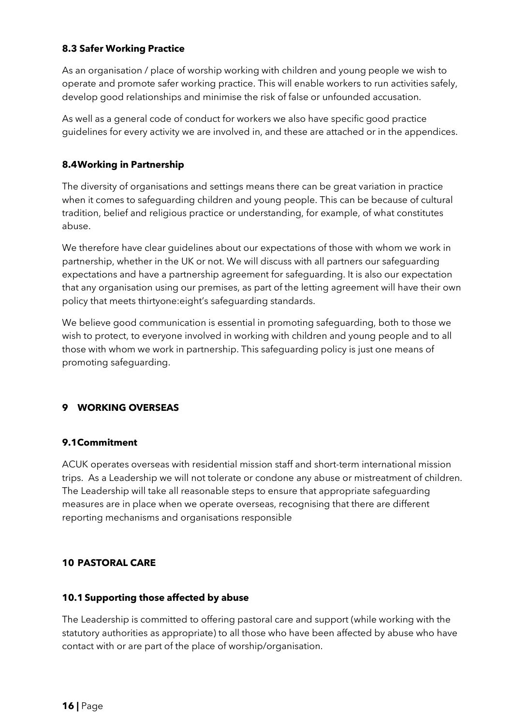## 8.3 Safer Working Practice

As an organisation / place of worship working with children and young people we wish to operate and promote safer working practice. This will enable workers to run activities safely, develop good relationships and minimise the risk of false or unfounded accusation.

As well as a general code of conduct for workers we also have specific good practice guidelines for every activity we are involved in, and these are attached or in the appendices.

### 8.4Working in Partnership

The diversity of organisations and settings means there can be great variation in practice when it comes to safeguarding children and young people. This can be because of cultural tradition, belief and religious practice or understanding, for example, of what constitutes abuse.

We therefore have clear guidelines about our expectations of those with whom we work in partnership, whether in the UK or not. We will discuss with all partners our safeguarding expectations and have a partnership agreement for safeguarding. It is also our expectation that any organisation using our premises, as part of the letting agreement will have their own policy that meets thirtyone:eight's safeguarding standards.

We believe good communication is essential in promoting safeguarding, both to those we wish to protect, to everyone involved in working with children and young people and to all those with whom we work in partnership. This safeguarding policy is just one means of promoting safeguarding.

# 9 WORKING OVERSEAS

#### 9.1Commitment

ACUK operates overseas with residential mission staff and short-term international mission trips. As a Leadership we will not tolerate or condone any abuse or mistreatment of children. The Leadership will take all reasonable steps to ensure that appropriate safeguarding measures are in place when we operate overseas, recognising that there are different reporting mechanisms and organisations responsible

#### 10 PASTORAL CARE

#### 10.1 Supporting those affected by abuse

The Leadership is committed to offering pastoral care and support (while working with the statutory authorities as appropriate) to all those who have been affected by abuse who have contact with or are part of the place of worship/organisation.